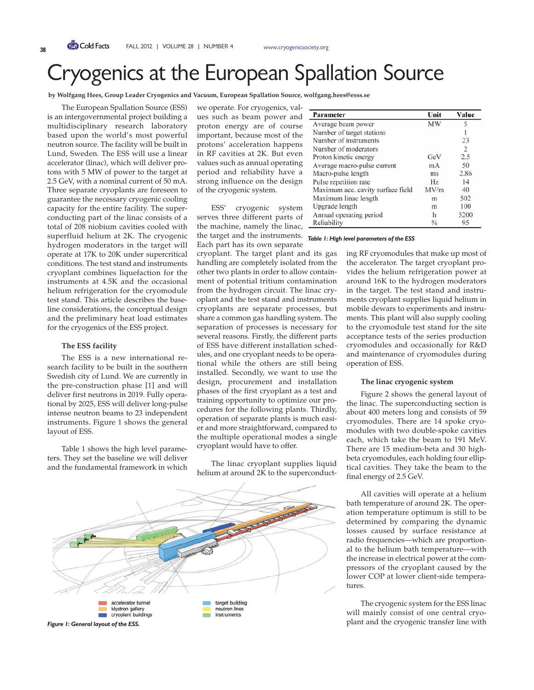# Cryogenics at the European Spallation Source

**by Wolfgang Hees, Group Leader Cryogenics and Vacuum, European Spallation Source, wolfgang.hees@esss.se**

The European Spallation Source (ESS) is an intergovernmental project building a multidisciplinary research laboratory based upon the world's most powerful neutron source. The facility will be built in Lund, Sweden. The ESS will use a linear accelerator (linac), which will deliver protons with 5 MW of power to the target at 2.5 GeV, with a nominal current of 50 mA. Three separate cryoplants are foreseen to guarantee the necessary cryogenic cooling capacity for the entire facility. The superconducting part of the linac consists of a total of 208 niobium cavities cooled with superfluid helium at 2K. The cryogenic hydrogen moderators in the target will operate at 17K to 20K under supercritical conditions. The test stand and instruments cryoplant combines liquefaction for the instruments at 4.5K and the occasional helium refrigeration for the cryomodule test stand. This article describes the baseline considerations, the conceptual design and the preliminary heat load estimates for the cryogenics of the ESS project.

#### **The ESS facility**

The ESS is a new international research facility to be built in the southern Swedish city of Lund. We are currently in the pre-construction phase [1] and will deliver first neutrons in 2019. Fully operational by 2025, ESS will deliver long-pulse intense neutron beams to 23 independent instruments. Figure 1 shows the general layout of ESS.

Table 1 shows the high level parameters. They set the baseline we will deliver and the fundamental framework in which we operate. For cryogenics, values such as beam power and proton energy are of course important, because most of the protons' acceleration happens in RF cavities at 2K. But even values such as annual operating period and reliability have a strong influence on the design of the cryogenic system.

ESS' cryogenic system serves three different parts of the machine, namely the linac,

the target and the instruments. *Table 1: High level parameters of the ESS* Each part has its own separate cryoplant. The target plant and its gas handling are completely isolated from the other two plants in order to allow containment of potential tritium contamination from the hydrogen circuit. The linac cryoplant and the test stand and instruments cryoplants are separate processes, but share a common gas handling system. The separation of processes is necessary for several reasons. Firstly, the different parts of ESS have different installation schedules, and one cryoplant needs to be operational while the others are still being installed. Secondly, we want to use the design, procurement and installation phases of the first cryoplant as a test and training opportunity to optimize our procedures for the following plants. Thirdly, operation of separate plants is much easier and more straightforward, compared to the multiple operational modes a single cryoplant would have to offer.

The linac cryoplant supplies liquid helium at around 2K to the superconduct-



| Parameter                         | Unit          | Value |
|-----------------------------------|---------------|-------|
| Average beam power                | MW            | 5     |
| Number of target stations         |               |       |
| Number of instruments             |               | 23    |
| Number of moderators              |               | 2     |
| Proton kinetic energy             | GeV           | 2.5   |
| Average macro-pulse current       | mA            | 50    |
| Macro-pulse length                | ms            | 2.86  |
| Pulse repetition rate             | Hz            | 14    |
| Maximum acc. cavity surface field | MV/m          | 40    |
| Maximum linac length              | m             | 502   |
| Upgrade length                    | m             | 100   |
| Annual operating period           | h             | 5200  |
| Reliability                       | $\frac{0}{0}$ | 95    |

ing RF cryomodules that make up most of the accelerator. The target cryoplant provides the helium refrigeration power at around 16K to the hydrogen moderators in the target. The test stand and instruments cryoplant supplies liquid helium in mobile dewars to experiments and instruments. This plant will also supply cooling to the cryomodule test stand for the site acceptance tests of the series production cryomodules and occasionally for R&D and maintenance of cryomodules during operation of ESS.

### **The linac cryogenic system**

Figure 2 shows the general layout of the linac. The superconducting section is about 400 meters long and consists of 59 cryomodules. There are 14 spoke cryomodules with two double-spoke cavities each, which take the beam to 191 MeV. There are 15 medium-beta and 30 highbeta cryomodules, each holding four elliptical cavities. They take the beam to the final energy of 2.5 GeV.

All cavities will operate at a helium bath temperature of around 2K. The operation temperature optimum is still to be determined by comparing the dynamic losses caused by surface resistance at radio frequencies—which are proportional to the helium bath temperature—with the increase in electrical power at the compressors of the cryoplant caused by the lower COP at lower client-side temperatures.

The cryogenic system for the ESS linac will mainly consist of one central cryo-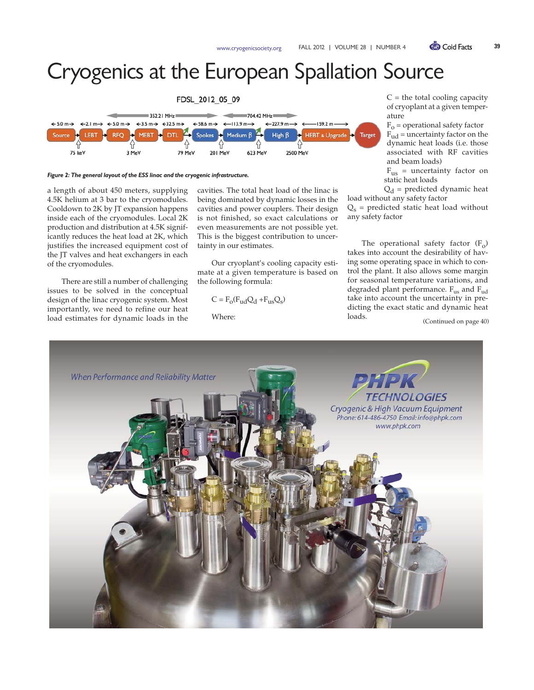## Cryogenics at the European Spallation Source



#### *Figure 2: The general layout of the ESS linac and the cryogenic infrastructure.*

a length of about 450 meters, supplying 4.5K helium at 3 bar to the cryomodules. Cooldown to 2K by JT expansion happens inside each of the cryomodules. Local 2K production and distribution at 4.5K significantly reduces the heat load at 2K, which justifies the increased equipment cost of the JT valves and heat exchangers in each of the cryomodules.

There are still a number of challenging issues to be solved in the conceptual design of the linac cryogenic system. Most importantly, we need to refine our heat load estimates for dynamic loads in the

cavities. The total heat load of the linac is being dominated by dynamic losses in the cavities and power couplers. Their design is not finished, so exact calculations or even measurements are not possible yet. This is the biggest contribution to uncertainty in our estimates.

Our cryoplant's cooling capacity estimate at a given temperature is based on the following formula:

$$
C = F_o(F_{ud}Q_d + F_{us}Q_s)
$$

Where:

 $C =$  the total cooling capacity of cryoplant at a given temperature

 $F_{o}$  = operational safety factor  $F_{ud}$  = uncertainty factor on the dynamic heat loads (i.e. those associated with RF cavities and beam loads)

 $F_{\text{us}}$  = uncertainty factor on static heat loads

 $Q_d$  = predicted dynamic heat load without any safety factor

 $Q_s$  = predicted static heat load without any safety factor

The operational safety factor  $(F_0)$ takes into account the desirability of having some operating space in which to control the plant. It also allows some margin for seasonal temperature variations, and degraded plant performance.  $F_{\text{us}}$  and  $F_{\text{ud}}$ take into account the uncertainty in predicting the exact static and dynamic heat loads.

(Continued on page 40)

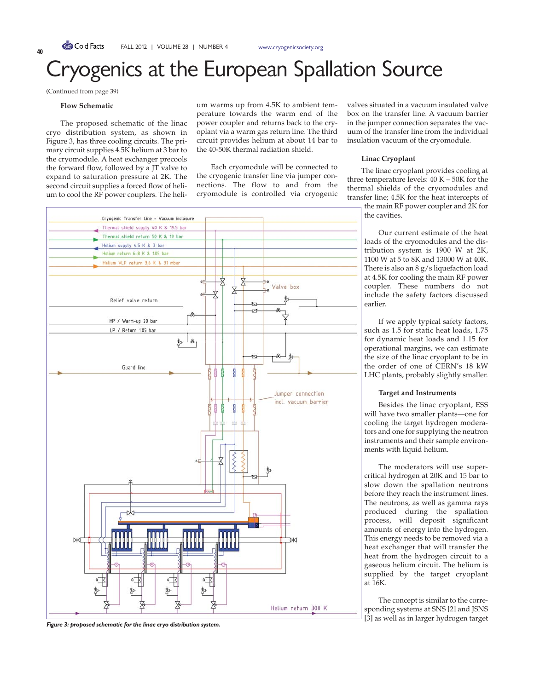### ogenics at the European Spallation Source

(Continued from page 39)

#### **Flow Schematic**

The proposed schematic of the linac cryo distribution system, as shown in Figure 3, has three cooling circuits. The primary circuit supplies 4.5K helium at 3 bar to the cryomodule. A heat exchanger precools the forward flow, followed by a JT valve to expand to saturation pressure at 2K. The second circuit supplies a forced flow of helium to cool the RF power couplers. The helium warms up from 4.5K to ambient temperature towards the warm end of the power coupler and returns back to the cryoplant via a warm gas return line. The third circuit provides helium at about 14 bar to the 40-50K thermal radiation shield.

Each cryomodule will be connected to the cryogenic transfer line via jumper connections. The flow to and from the cryomodule is controlled via cryogenic



valves situated in a vacuum insulated valve box on the transfer line. A vacuum barrier in the jumper connection separates the vacuum of the transfer line from the individual insulation vacuum of the cryomodule.

### **Linac Cryoplant**

The linac cryoplant provides cooling at three temperature levels: 40 K – 50K for the thermal shields of the cryomodules and transfer line; 4.5K for the heat intercepts of

the main RF power coupler and 2K for the cavities.

Our current estimate of the heat loads of the cryomodules and the distribution system is 1900 W at 2K, 1100 W at 5 to 8K and 13000 W at 40K. There is also an 8 g/s liquefaction load at 4.5K for cooling the main RF power coupler. These numbers do not include the safety factors discussed earlier.

If we apply typical safety factors, such as 1.5 for static heat loads, 1.75 for dynamic heat loads and 1.15 for operational margins, we can estimate the size of the linac cryoplant to be in the order of one of CERN's 18 kW LHC plants, probably slightly smaller.

#### **Target and Instruments**

Besides the linac cryoplant, ESS will have two smaller plants—one for cooling the target hydrogen moderators and one for supplying the neutron instruments and their sample environments with liquid helium.

The moderators will use supercritical hydrogen at 20K and 15 bar to slow down the spallation neutrons before they reach the instrument lines. The neutrons, as well as gamma rays produced during the spallation process, will deposit significant amounts of energy into the hydrogen. This energy needs to be removed via a heat exchanger that will transfer the heat from the hydrogen circuit to a gaseous helium circuit. The helium is supplied by the target cryoplant at 16K.

The concept is similar to the corresponding systems at SNS [2] and JSNS